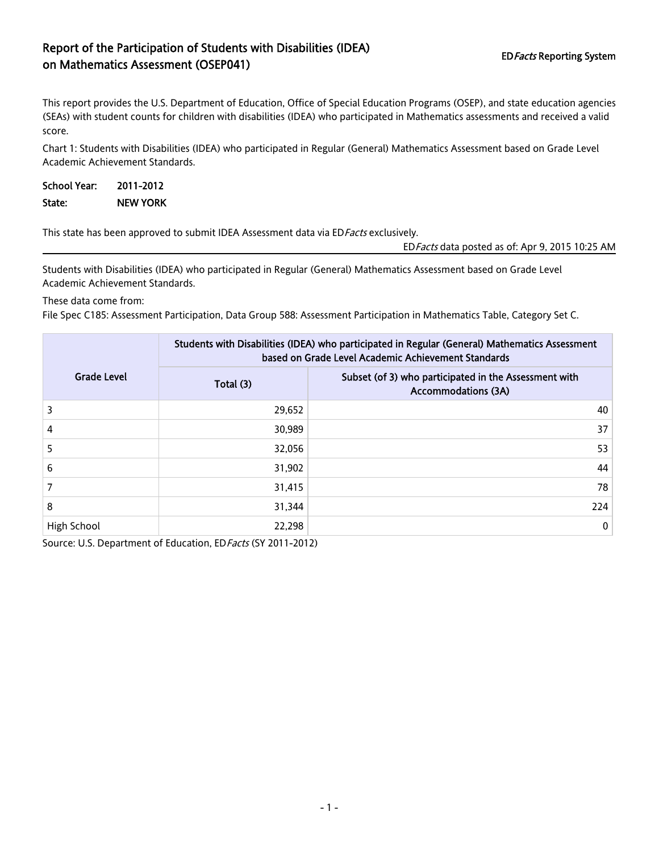## Report of the Participation of Students with Disabilities (IDEA) EDFacts Reporting System<br>
on Mathematics Assessment (OSEP041)

This report provides the U.S. Department of Education, Office of Special Education Programs (OSEP), and state education agencies (SEAs) with student counts for children with disabilities (IDEA) who participated in Mathematics assessments and received a valid score.

Chart 1: Students with Disabilities (IDEA) who participated in Regular (General) Mathematics Assessment based on Grade Level Academic Achievement Standards.

| School Year: | 2011-2012       |
|--------------|-----------------|
| State:       | <b>NEW YORK</b> |

This state has been approved to submit IDEA Assessment data via ED Facts exclusively.

EDFacts data posted as of: Apr 9, 2015 10:25 AM

Students with Disabilities (IDEA) who participated in Regular (General) Mathematics Assessment based on Grade Level Academic Achievement Standards.

These data come from:

File Spec C185: Assessment Participation, Data Group 588: Assessment Participation in Mathematics Table, Category Set C.

|                    | Students with Disabilities (IDEA) who participated in Regular (General) Mathematics Assessment<br>based on Grade Level Academic Achievement Standards |                                                                                     |  |
|--------------------|-------------------------------------------------------------------------------------------------------------------------------------------------------|-------------------------------------------------------------------------------------|--|
| <b>Grade Level</b> | Total (3)                                                                                                                                             | Subset (of 3) who participated in the Assessment with<br><b>Accommodations (3A)</b> |  |
| 3                  | 29,652                                                                                                                                                | 40                                                                                  |  |
| 4                  | 30,989                                                                                                                                                | 37                                                                                  |  |
| 5                  | 32,056                                                                                                                                                | 53                                                                                  |  |
| 6                  | 31,902                                                                                                                                                | 44                                                                                  |  |
|                    | 31,415                                                                                                                                                | 78                                                                                  |  |
| 8                  | 31,344                                                                                                                                                | 224                                                                                 |  |
| High School        | 22,298                                                                                                                                                | $\mathbf{0}$                                                                        |  |

Source: U.S. Department of Education, ED Facts (SY 2011-2012)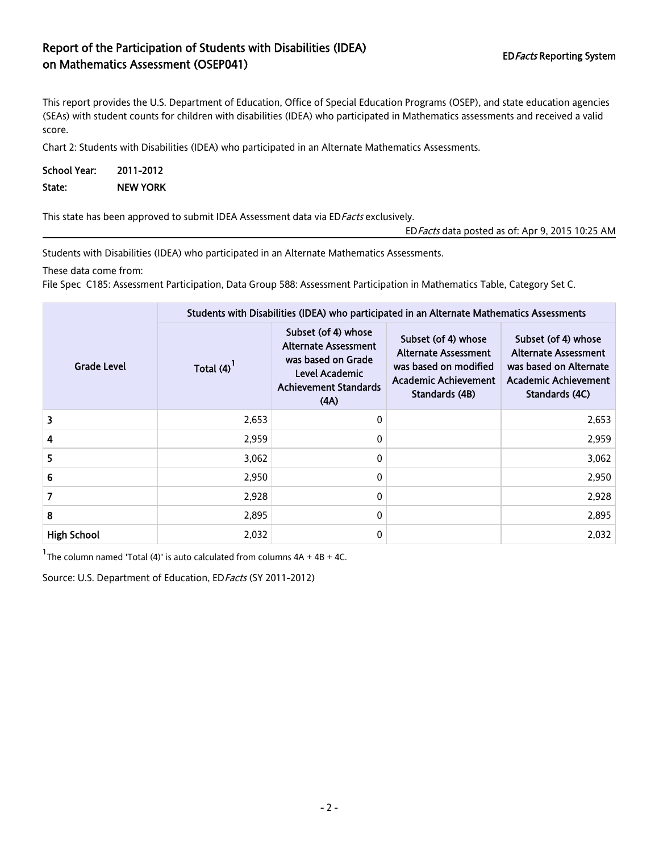## Report of the Participation of Students with Disabilities (IDEA) EDFacts Reporting System<br>
on Mathematics Assessment (OSEP041)

This report provides the U.S. Department of Education, Office of Special Education Programs (OSEP), and state education agencies (SEAs) with student counts for children with disabilities (IDEA) who participated in Mathematics assessments and received a valid score.

Chart 2: Students with Disabilities (IDEA) who participated in an Alternate Mathematics Assessments.

| <b>School Year:</b> | 2011-2012       |
|---------------------|-----------------|
| State:              | <b>NEW YORK</b> |

This state has been approved to submit IDEA Assessment data via ED Facts exclusively.

EDFacts data posted as of: Apr 9, 2015 10:25 AM

Students with Disabilities (IDEA) who participated in an Alternate Mathematics Assessments.

These data come from:

File Spec C185: Assessment Participation, Data Group 588: Assessment Participation in Mathematics Table, Category Set C.

|                    | Students with Disabilities (IDEA) who participated in an Alternate Mathematics Assessments |                                                                                                                                    |                                                                                                                              |                                                                                                                               |  |
|--------------------|--------------------------------------------------------------------------------------------|------------------------------------------------------------------------------------------------------------------------------------|------------------------------------------------------------------------------------------------------------------------------|-------------------------------------------------------------------------------------------------------------------------------|--|
| <b>Grade Level</b> | Total $(4)^{1}$                                                                            | Subset (of 4) whose<br><b>Alternate Assessment</b><br>was based on Grade<br>Level Academic<br><b>Achievement Standards</b><br>(AA) | Subset (of 4) whose<br><b>Alternate Assessment</b><br>was based on modified<br><b>Academic Achievement</b><br>Standards (4B) | Subset (of 4) whose<br><b>Alternate Assessment</b><br>was based on Alternate<br><b>Academic Achievement</b><br>Standards (4C) |  |
| 3                  | 2,653                                                                                      | 0                                                                                                                                  |                                                                                                                              | 2,653                                                                                                                         |  |
| 4                  | 2,959                                                                                      | 0                                                                                                                                  |                                                                                                                              | 2,959                                                                                                                         |  |
| 5                  | 3,062                                                                                      | 0                                                                                                                                  |                                                                                                                              | 3,062                                                                                                                         |  |
| 6                  | 2,950                                                                                      | 0                                                                                                                                  |                                                                                                                              | 2,950                                                                                                                         |  |
| 7                  | 2,928                                                                                      | 0                                                                                                                                  |                                                                                                                              | 2,928                                                                                                                         |  |
| 8                  | 2,895                                                                                      | 0                                                                                                                                  |                                                                                                                              | 2,895                                                                                                                         |  |
| <b>High School</b> | 2,032                                                                                      | 0                                                                                                                                  |                                                                                                                              | 2,032                                                                                                                         |  |

<sup>1</sup>The column named 'Total (4)' is auto calculated from columns  $4A + 4B + 4C$ .

Source: U.S. Department of Education, ED Facts (SY 2011-2012)